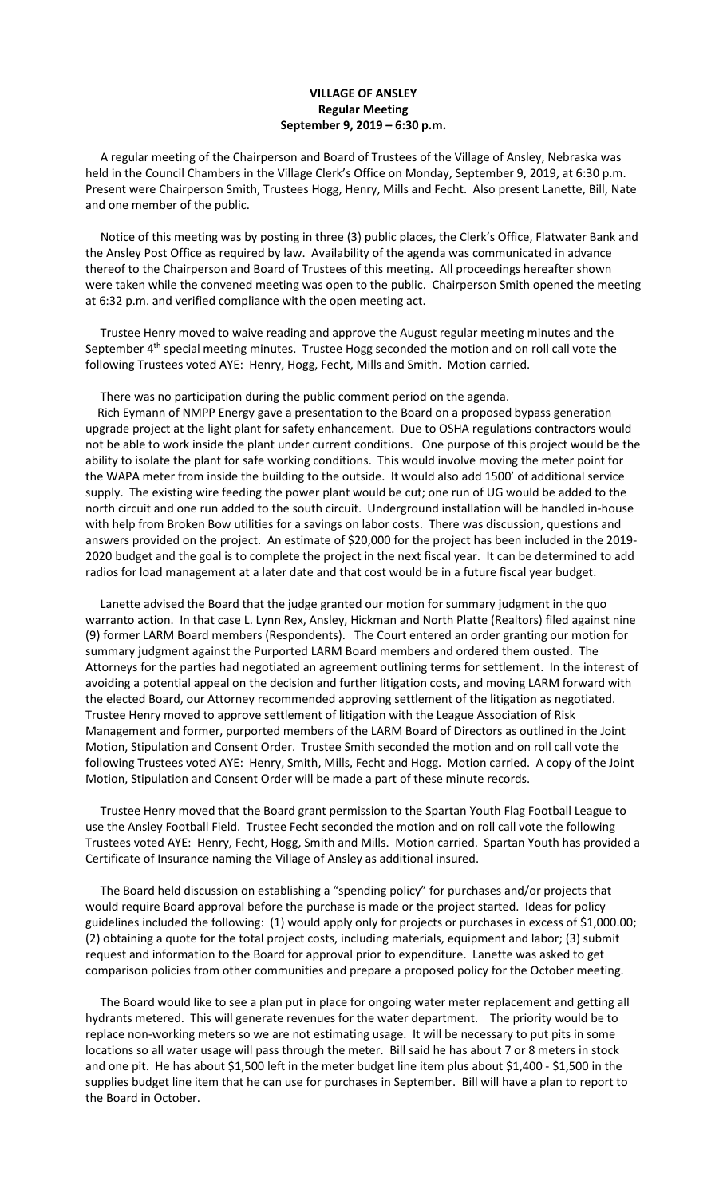## **VILLAGE OF ANSLEY Regular Meeting September 9, 2019 – 6:30 p.m.**

 A regular meeting of the Chairperson and Board of Trustees of the Village of Ansley, Nebraska was held in the Council Chambers in the Village Clerk's Office on Monday, September 9, 2019, at 6:30 p.m. Present were Chairperson Smith, Trustees Hogg, Henry, Mills and Fecht. Also present Lanette, Bill, Nate and one member of the public.

 Notice of this meeting was by posting in three (3) public places, the Clerk's Office, Flatwater Bank and the Ansley Post Office as required by law. Availability of the agenda was communicated in advance thereof to the Chairperson and Board of Trustees of this meeting. All proceedings hereafter shown were taken while the convened meeting was open to the public. Chairperson Smith opened the meeting at 6:32 p.m. and verified compliance with the open meeting act.

 Trustee Henry moved to waive reading and approve the August regular meeting minutes and the September 4<sup>th</sup> special meeting minutes. Trustee Hogg seconded the motion and on roll call vote the following Trustees voted AYE: Henry, Hogg, Fecht, Mills and Smith. Motion carried.

There was no participation during the public comment period on the agenda.

 Rich Eymann of NMPP Energy gave a presentation to the Board on a proposed bypass generation upgrade project at the light plant for safety enhancement. Due to OSHA regulations contractors would not be able to work inside the plant under current conditions. One purpose of this project would be the ability to isolate the plant for safe working conditions. This would involve moving the meter point for the WAPA meter from inside the building to the outside. It would also add 1500' of additional service supply. The existing wire feeding the power plant would be cut; one run of UG would be added to the north circuit and one run added to the south circuit. Underground installation will be handled in-house with help from Broken Bow utilities for a savings on labor costs. There was discussion, questions and answers provided on the project. An estimate of \$20,000 for the project has been included in the 2019- 2020 budget and the goal is to complete the project in the next fiscal year. It can be determined to add radios for load management at a later date and that cost would be in a future fiscal year budget.

 Lanette advised the Board that the judge granted our motion for summary judgment in the quo warranto action. In that case L. Lynn Rex, Ansley, Hickman and North Platte (Realtors) filed against nine (9) former LARM Board members (Respondents). The Court entered an order granting our motion for summary judgment against the Purported LARM Board members and ordered them ousted. The Attorneys for the parties had negotiated an agreement outlining terms for settlement. In the interest of avoiding a potential appeal on the decision and further litigation costs, and moving LARM forward with the elected Board, our Attorney recommended approving settlement of the litigation as negotiated. Trustee Henry moved to approve settlement of litigation with the League Association of Risk Management and former, purported members of the LARM Board of Directors as outlined in the Joint Motion, Stipulation and Consent Order. Trustee Smith seconded the motion and on roll call vote the following Trustees voted AYE: Henry, Smith, Mills, Fecht and Hogg. Motion carried. A copy of the Joint Motion, Stipulation and Consent Order will be made a part of these minute records.

 Trustee Henry moved that the Board grant permission to the Spartan Youth Flag Football League to use the Ansley Football Field. Trustee Fecht seconded the motion and on roll call vote the following Trustees voted AYE: Henry, Fecht, Hogg, Smith and Mills. Motion carried. Spartan Youth has provided a Certificate of Insurance naming the Village of Ansley as additional insured.

 The Board held discussion on establishing a "spending policy" for purchases and/or projects that would require Board approval before the purchase is made or the project started. Ideas for policy guidelines included the following: (1) would apply only for projects or purchases in excess of \$1,000.00; (2) obtaining a quote for the total project costs, including materials, equipment and labor; (3) submit request and information to the Board for approval prior to expenditure. Lanette was asked to get comparison policies from other communities and prepare a proposed policy for the October meeting.

 The Board would like to see a plan put in place for ongoing water meter replacement and getting all hydrants metered. This will generate revenues for the water department. The priority would be to replace non-working meters so we are not estimating usage. It will be necessary to put pits in some locations so all water usage will pass through the meter. Bill said he has about 7 or 8 meters in stock and one pit. He has about \$1,500 left in the meter budget line item plus about \$1,400 - \$1,500 in the supplies budget line item that he can use for purchases in September. Bill will have a plan to report to the Board in October.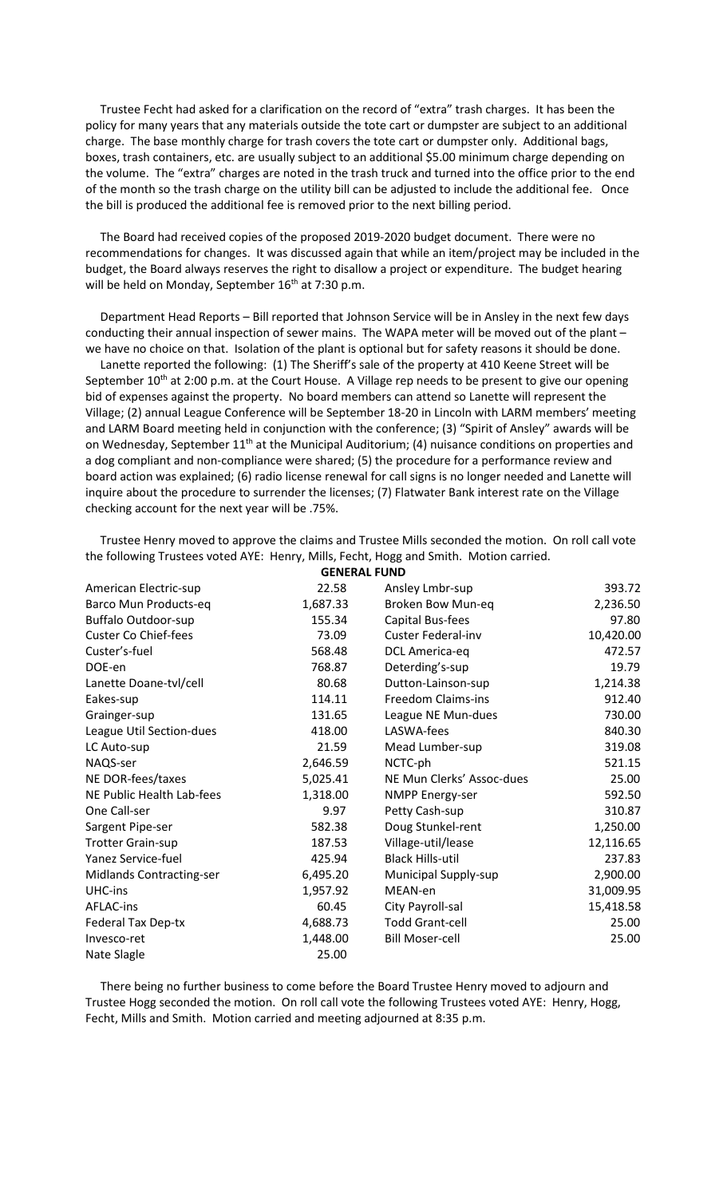Trustee Fecht had asked for a clarification on the record of "extra" trash charges. It has been the policy for many years that any materials outside the tote cart or dumpster are subject to an additional charge. The base monthly charge for trash covers the tote cart or dumpster only. Additional bags, boxes, trash containers, etc. are usually subject to an additional \$5.00 minimum charge depending on the volume. The "extra" charges are noted in the trash truck and turned into the office prior to the end of the month so the trash charge on the utility bill can be adjusted to include the additional fee. Once the bill is produced the additional fee is removed prior to the next billing period.

 The Board had received copies of the proposed 2019-2020 budget document. There were no recommendations for changes. It was discussed again that while an item/project may be included in the budget, the Board always reserves the right to disallow a project or expenditure. The budget hearing will be held on Monday, September 16<sup>th</sup> at 7:30 p.m.

 Department Head Reports – Bill reported that Johnson Service will be in Ansley in the next few days conducting their annual inspection of sewer mains. The WAPA meter will be moved out of the plant – we have no choice on that. Isolation of the plant is optional but for safety reasons it should be done.

 Lanette reported the following: (1) The Sheriff's sale of the property at 410 Keene Street will be September 10<sup>th</sup> at 2:00 p.m. at the Court House. A Village rep needs to be present to give our opening bid of expenses against the property. No board members can attend so Lanette will represent the Village; (2) annual League Conference will be September 18-20 in Lincoln with LARM members' meeting and LARM Board meeting held in conjunction with the conference; (3) "Spirit of Ansley" awards will be on Wednesday, September  $11<sup>th</sup>$  at the Municipal Auditorium; (4) nuisance conditions on properties and a dog compliant and non-compliance were shared; (5) the procedure for a performance review and board action was explained; (6) radio license renewal for call signs is no longer needed and Lanette will inquire about the procedure to surrender the licenses; (7) Flatwater Bank interest rate on the Village checking account for the next year will be .75%.

| <b>GENERAL FUND</b>         |          |                           |           |
|-----------------------------|----------|---------------------------|-----------|
| American Electric-sup       | 22.58    | Ansley Lmbr-sup           | 393.72    |
| Barco Mun Products-eq       | 1,687.33 | Broken Bow Mun-eq         | 2,236.50  |
| <b>Buffalo Outdoor-sup</b>  | 155.34   | Capital Bus-fees          | 97.80     |
| <b>Custer Co Chief-fees</b> | 73.09    | <b>Custer Federal-inv</b> | 10,420.00 |
| Custer's-fuel               | 568.48   | DCL America-eq            | 472.57    |
| DOE-en                      | 768.87   | Deterding's-sup           | 19.79     |
| Lanette Doane-tvl/cell      | 80.68    | Dutton-Lainson-sup        | 1,214.38  |
| Eakes-sup                   | 114.11   | Freedom Claims-ins        | 912.40    |
| Grainger-sup                | 131.65   | League NE Mun-dues        | 730.00    |
| League Util Section-dues    | 418.00   | LASWA-fees                | 840.30    |
| LC Auto-sup                 | 21.59    | Mead Lumber-sup           | 319.08    |
| NAQS-ser                    | 2,646.59 | NCTC-ph                   | 521.15    |
| NE DOR-fees/taxes           | 5,025.41 | NE Mun Clerks' Assoc-dues | 25.00     |
| NE Public Health Lab-fees   | 1,318.00 | <b>NMPP Energy-ser</b>    | 592.50    |
| One Call-ser                | 9.97     | Petty Cash-sup            | 310.87    |
| Sargent Pipe-ser            | 582.38   | Doug Stunkel-rent         | 1,250.00  |
| <b>Trotter Grain-sup</b>    | 187.53   | Village-util/lease        | 12,116.65 |
| <b>Yanez Service-fuel</b>   | 425.94   | <b>Black Hills-util</b>   | 237.83    |
| Midlands Contracting-ser    | 6,495.20 | Municipal Supply-sup      | 2,900.00  |
| UHC-ins                     | 1,957.92 | MEAN-en                   | 31,009.95 |
| AFLAC-ins                   | 60.45    | City Payroll-sal          | 15,418.58 |
| <b>Federal Tax Dep-tx</b>   | 4,688.73 | <b>Todd Grant-cell</b>    | 25.00     |
| Invesco-ret                 | 1,448.00 | <b>Bill Moser-cell</b>    | 25.00     |
| Nate Slagle                 | 25.00    |                           |           |

 Trustee Henry moved to approve the claims and Trustee Mills seconded the motion. On roll call vote the following Trustees voted AYE: Henry, Mills, Fecht, Hogg and Smith. Motion carried.

 There being no further business to come before the Board Trustee Henry moved to adjourn and Trustee Hogg seconded the motion. On roll call vote the following Trustees voted AYE: Henry, Hogg, Fecht, Mills and Smith. Motion carried and meeting adjourned at 8:35 p.m.